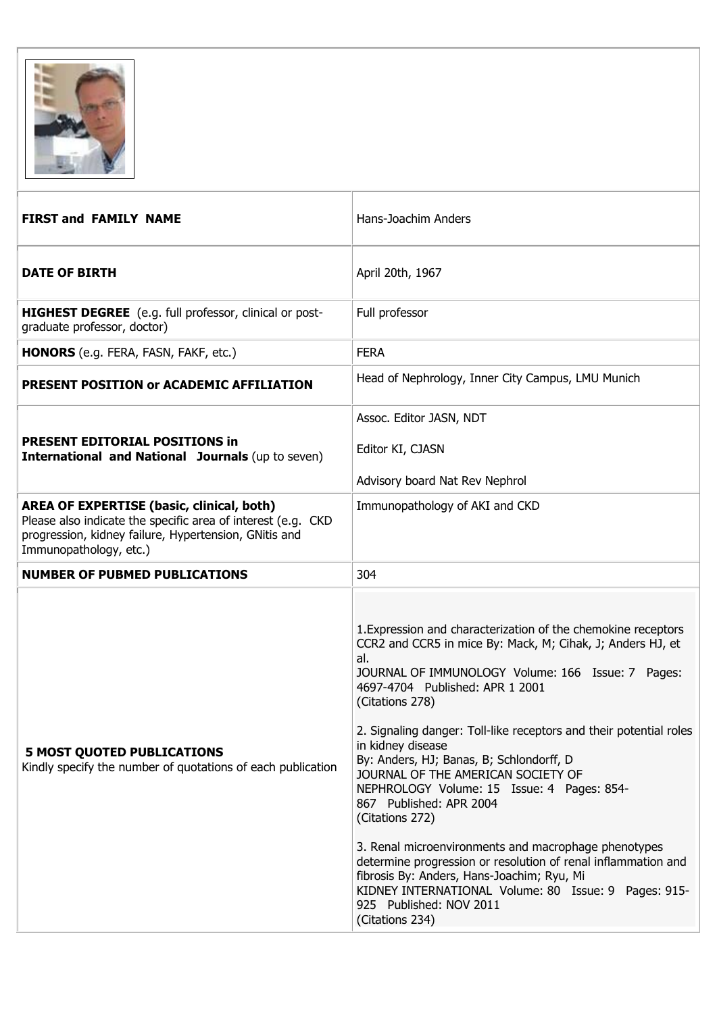

| <b>FIRST and FAMILY NAME</b>                                                                                                                                                                        | Hans-Joachim Anders                                                                                                                                                                                                                                                                                                                                                                                                                                                                                                                                                                                                                                                                                                                                                                                 |
|-----------------------------------------------------------------------------------------------------------------------------------------------------------------------------------------------------|-----------------------------------------------------------------------------------------------------------------------------------------------------------------------------------------------------------------------------------------------------------------------------------------------------------------------------------------------------------------------------------------------------------------------------------------------------------------------------------------------------------------------------------------------------------------------------------------------------------------------------------------------------------------------------------------------------------------------------------------------------------------------------------------------------|
| <b>DATE OF BIRTH</b>                                                                                                                                                                                | April 20th, 1967                                                                                                                                                                                                                                                                                                                                                                                                                                                                                                                                                                                                                                                                                                                                                                                    |
| HIGHEST DEGREE (e.g. full professor, clinical or post-<br>graduate professor, doctor)                                                                                                               | Full professor                                                                                                                                                                                                                                                                                                                                                                                                                                                                                                                                                                                                                                                                                                                                                                                      |
| <b>HONORS</b> (e.g. FERA, FASN, FAKF, etc.)                                                                                                                                                         | <b>FERA</b>                                                                                                                                                                                                                                                                                                                                                                                                                                                                                                                                                                                                                                                                                                                                                                                         |
| <b>PRESENT POSITION OF ACADEMIC AFFILIATION</b>                                                                                                                                                     | Head of Nephrology, Inner City Campus, LMU Munich                                                                                                                                                                                                                                                                                                                                                                                                                                                                                                                                                                                                                                                                                                                                                   |
| <b>PRESENT EDITORIAL POSITIONS in</b><br><b>International and National Journals (up to seven)</b>                                                                                                   | Assoc. Editor JASN, NDT<br>Editor KI, CJASN<br>Advisory board Nat Rev Nephrol                                                                                                                                                                                                                                                                                                                                                                                                                                                                                                                                                                                                                                                                                                                       |
| <b>AREA OF EXPERTISE (basic, clinical, both)</b><br>Please also indicate the specific area of interest (e.g. CKD<br>progression, kidney failure, Hypertension, GNitis and<br>Immunopathology, etc.) | Immunopathology of AKI and CKD                                                                                                                                                                                                                                                                                                                                                                                                                                                                                                                                                                                                                                                                                                                                                                      |
| <b>NUMBER OF PUBMED PUBLICATIONS</b>                                                                                                                                                                | 304                                                                                                                                                                                                                                                                                                                                                                                                                                                                                                                                                                                                                                                                                                                                                                                                 |
| <b>5 MOST QUOTED PUBLICATIONS</b><br>Kindly specify the number of quotations of each publication                                                                                                    | 1. Expression and characterization of the chemokine receptors<br>CCR2 and CCR5 in mice By: Mack, M; Cihak, J; Anders HJ, et<br>al.<br>JOURNAL OF IMMUNOLOGY Volume: 166 Issue: 7 Pages:<br>4697-4704 Published: APR 1 2001<br>(Citations 278)<br>2. Signaling danger: Toll-like receptors and their potential roles<br>in kidney disease<br>By: Anders, HJ; Banas, B; Schlondorff, D<br>JOURNAL OF THE AMERICAN SOCIETY OF<br>NEPHROLOGY Volume: 15 Issue: 4 Pages: 854-<br>867 Published: APR 2004<br>(Citations 272)<br>3. Renal microenvironments and macrophage phenotypes<br>determine progression or resolution of renal inflammation and<br>fibrosis By: Anders, Hans-Joachim; Ryu, Mi<br>KIDNEY INTERNATIONAL Volume: 80 Issue: 9 Pages: 915-<br>925 Published: NOV 2011<br>(Citations 234) |